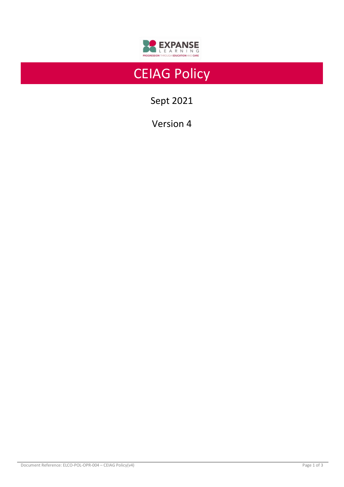

# CEIAG Policy

Sept 2021

Version 4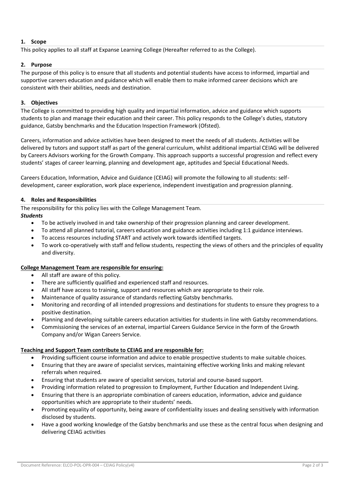# **1. Scope**

This policy applies to all staff at Expanse Learning College (Hereafter referred to as the College).

## **2. Purpose**

The purpose of this policy is to ensure that all students and potential students have access to informed, impartial and supportive careers education and guidance which will enable them to make informed career decisions which are consistent with their abilities, needs and destination.

## **3. Objectives**

The College is committed to providing high quality and impartial information, advice and guidance which supports students to plan and manage their education and their career. This policy responds to the College's duties, statutory guidance, Gatsby benchmarks and the Education Inspection Framework (Ofsted).

Careers, information and advice activities have been designed to meet the needs of all students. Activities will be delivered by tutors and support staff as part of the general curriculum, whilst additional impartial CEIAG will be delivered by Careers Advisors working for the Growth Company. This approach supports a successful progression and reflect every students' stages of career learning, planning and development age, aptitudes and Special Educational Needs.

Careers Education, Information, Advice and Guidance (CEIAG) will promote the following to all students: selfdevelopment, career exploration, work place experience, independent investigation and progression planning.

### **4. Roles and Responsibilities**

The responsibility for this policy lies with the College Management Team.

### *Students*

- To be actively involved in and take ownership of their progression planning and career development.
- To attend all planned tutorial, careers education and guidance activities including 1:1 guidance interviews.
- To access resources including START and actively work towards identified targets.
- To work co-operatively with staff and fellow students, respecting the views of others and the principles of equality and diversity.

### **College Management Team are responsible for ensuring:**

- All staff are aware of this policy.
- There are sufficiently qualified and experienced staff and resources.
- All staff have access to training, support and resources which are appropriate to their role.
- Maintenance of quality assurance of standards reflecting Gatsby benchmarks.
- Monitoring and recording of all intended progressions and destinations for students to ensure they progress to a positive destination.
- Planning and developing suitable careers education activities for students in line with Gatsby recommendations.
- Commissioning the services of an external, impartial Careers Guidance Service in the form of the Growth Company and/or Wigan Careers Service.

### **Teaching and Support Team contribute to CEIAG and are responsible for:**

- Providing sufficient course information and advice to enable prospective students to make suitable choices.
- Ensuring that they are aware of specialist services, maintaining effective working links and making relevant referrals when required.
- Ensuring that students are aware of specialist services, tutorial and course-based support.
- Providing information related to progression to Employment, Further Education and Independent Living.
- Ensuring that there is an appropriate combination of careers education, information, advice and guidance opportunities which are appropriate to their students' needs.
- Promoting equality of opportunity, being aware of confidentiality issues and dealing sensitively with information disclosed by students.
- Have a good working knowledge of the Gatsby benchmarks and use these as the central focus when designing and delivering CEIAG activities